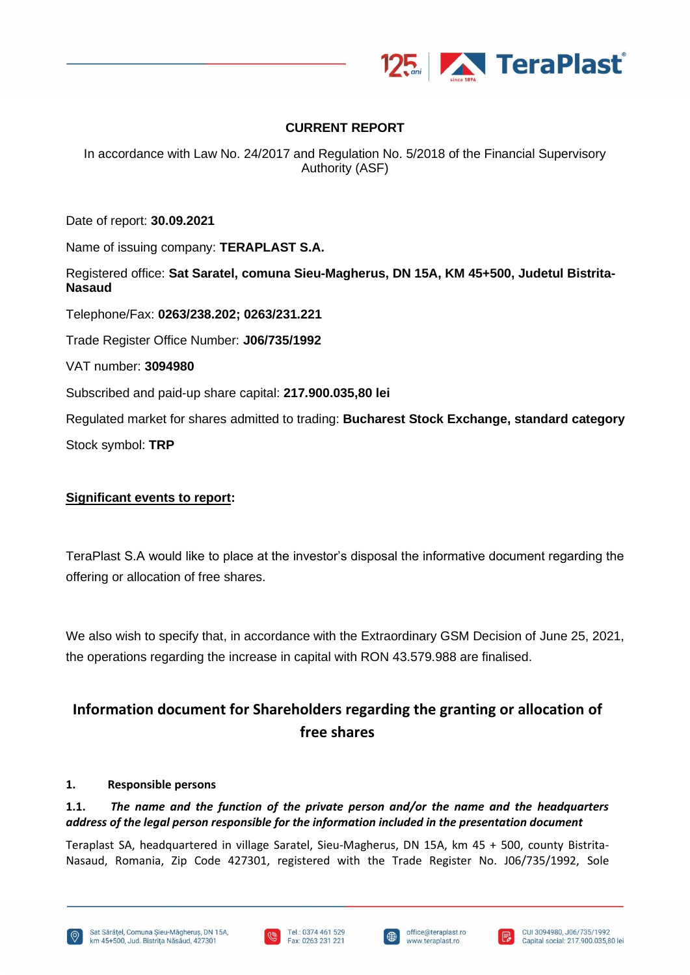

## **CURRENT REPORT**

In accordance with Law No. 24/2017 and Regulation No. 5/2018 of the Financial Supervisory Authority (ASF)

Date of report: **30.09.2021**

Name of issuing company: **TERAPLAST S.A.**

Registered office: **Sat Saratel, comuna Sieu-Magherus, DN 15A, KM 45+500, Judetul Bistrita-Nasaud**

Telephone/Fax: **0263/238.202; 0263/231.221**

Trade Register Office Number: **J06/735/1992**

VAT number: **3094980**

Subscribed and paid-up share capital: **217.900.035,80 lei**

Regulated market for shares admitted to trading: **Bucharest Stock Exchange, standard category** Stock symbol: **TRP**

## **Significant events to report:**

TeraPlast S.A would like to place at the investor's disposal the informative document regarding the offering or allocation of free shares.

We also wish to specify that, in accordance with the Extraordinary GSM Decision of June 25, 2021, the operations regarding the increase in capital with RON 43.579.988 are finalised.

# **Information document for Shareholders regarding the granting or allocation of free shares**

#### **1. Responsible persons**

## **1.1.** *The name and the function of the private person and/or the name and the headquarters address of the legal person responsible for the information included in the presentation document*

Teraplast SA, headquartered in village Saratel, Sieu-Magherus, DN 15A, km 45 + 500, county Bistrita-Nasaud, Romania, Zip Code 427301, registered with the Trade Register No. J06/735/1992, Sole







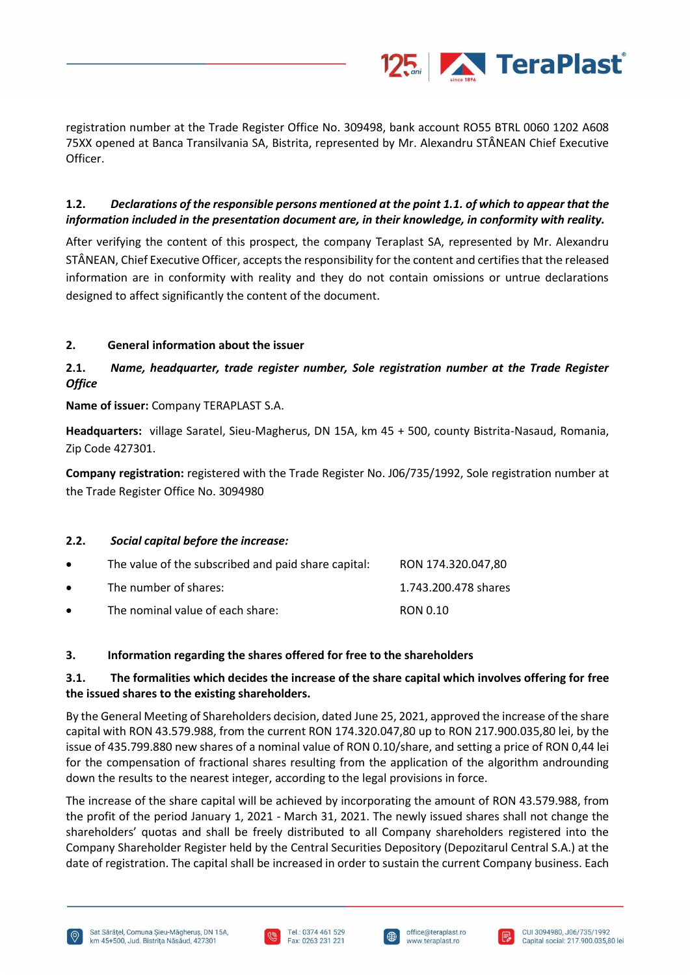

registration number at the Trade Register Office No. 309498, bank account RO55 BTRL 0060 1202 A608 75XX opened at Banca Transilvania SA, Bistrita, represented by Mr. Alexandru STÂNEAN Chief Executive Officer.

## **1.2.** *Declarations of the responsible persons mentioned at the point 1.1. of which to appear that the information included in the presentation document are, in their knowledge, in conformity with reality.*

After verifying the content of this prospect, the company Teraplast SA, represented by Mr. Alexandru STÂNEAN, Chief Executive Officer, accepts the responsibility for the content and certifies that the released information are in conformity with reality and they do not contain omissions or untrue declarations designed to affect significantly the content of the document.

## **2. General information about the issuer**

# **2.1.** *Name, headquarter, trade register number, Sole registration number at the Trade Register Office*

**Name of issuer:** Company TERAPLAST S.A.

**Headquarters:** village Saratel, Sieu-Magherus, DN 15A, km 45 + 500, county Bistrita-Nasaud, Romania, Zip Code 427301.

**Company registration:** registered with the Trade Register No. J06/735/1992, Sole registration number at the Trade Register Office No. 3094980

#### **2.2.** *Social capital before the increase:*

| $\bullet$ | The value of the subscribed and paid share capital: | RON 174.320.047.80   |
|-----------|-----------------------------------------------------|----------------------|
| $\bullet$ | The number of shares:                               | 1.743.200.478 shares |
| $\bullet$ | The nominal value of each share:                    | RON 0.10             |

#### **3. Information regarding the shares offered for free to the shareholders**

## **3.1. The formalities which decides the increase of the share capital which involves offering for free the issued shares to the existing shareholders.**

By the General Meeting of Shareholders decision, dated June 25, 2021, approved the increase of the share capital with RON 43.579.988, from the current RON 174.320.047,80 up to RON 217.900.035,80 lei, by the issue of 435.799.880 new shares of a nominal value of RON 0.10/share, and setting a price of RON 0,44 lei for the compensation of fractional shares resulting from the application of the algorithm androunding down the results to the nearest integer, according to the legal provisions in force.

The increase of the share capital will be achieved by incorporating the amount of RON 43.579.988, from the profit of the period January 1, 2021 - March 31, 2021. The newly issued shares shall not change the shareholders' quotas and shall be freely distributed to all Company shareholders registered into the Company Shareholder Register held by the Central Securities Depository (Depozitarul Central S.A.) at the date of registration. The capital shall be increased in order to sustain the current Company business. Each







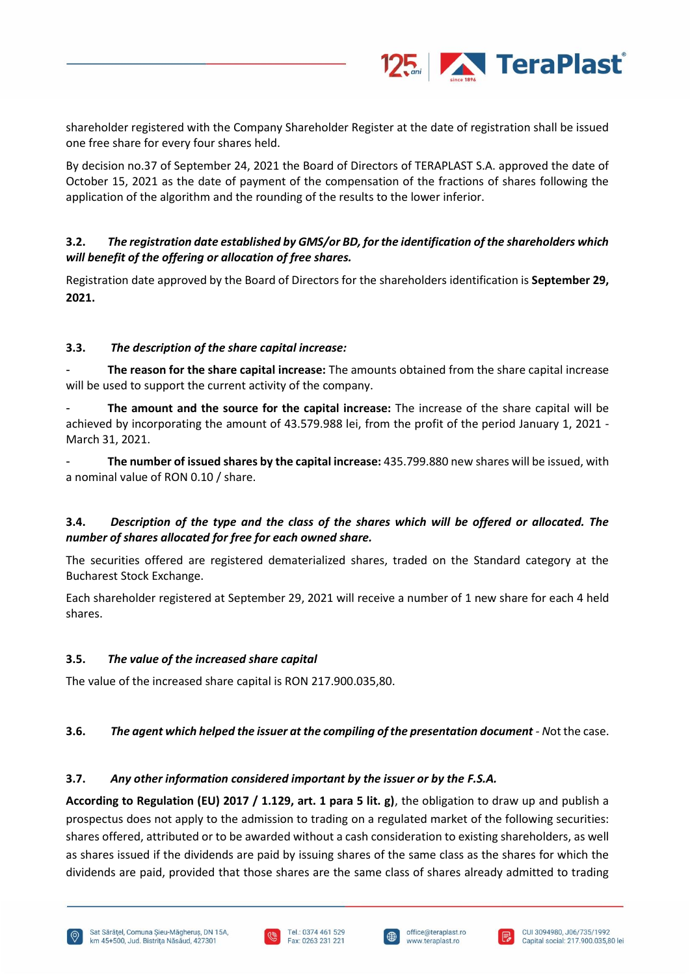

shareholder registered with the Company Shareholder Register at the date of registration shall be issued one free share for every four shares held.

By decision no.37 of September 24, 2021 the Board of Directors of TERAPLAST S.A. approved the date of October 15, 2021 as the date of payment of the compensation of the fractions of shares following the application of the algorithm and the rounding of the results to the lower inferior.

## **3.2.** *The registration date established by GMS/or BD, for the identification of the shareholders which will benefit of the offering or allocation of free shares.*

Registration date approved by the Board of Directors for the shareholders identification is **September 29, 2021.**

#### **3.3.** *The description of the share capital increase:*

- **The reason for the share capital increase:** The amounts obtained from the share capital increase will be used to support the current activity of the company.

- **The amount and the source for the capital increase:** The increase of the share capital will be achieved by incorporating the amount of 43.579.988 lei, from the profit of the period January 1, 2021 - March 31, 2021.

- **The number of issued shares by the capital increase:** 435.799.880 new shares will be issued, with a nominal value of RON 0.10 / share.

## **3.4.** *Description of the type and the class of the shares which will be offered or allocated. The number of shares allocated for free for each owned share.*

The securities offered are registered dematerialized shares, traded on the Standard category at the Bucharest Stock Exchange.

Each shareholder registered at September 29, 2021 will receive a number of 1 new share for each 4 held shares.

#### **3.5.** *The value of the increased share capital*

The value of the increased share capital is RON 217.900.035,80.

#### **3.6.** *The agent which helped the issuer at the compiling of the presentation document - N*ot the case.

#### **3.7.** *Any other information considered important by the issuer or by the F.S.A.*

**According to Regulation (EU) 2017 / 1.129, art. 1 para 5 lit. g)**, the obligation to draw up and publish a prospectus does not apply to the admission to trading on a regulated market of the following securities: shares offered, attributed or to be awarded without a cash consideration to existing shareholders, as well as shares issued if the dividends are paid by issuing shares of the same class as the shares for which the dividends are paid, provided that those shares are the same class of shares already admitted to trading